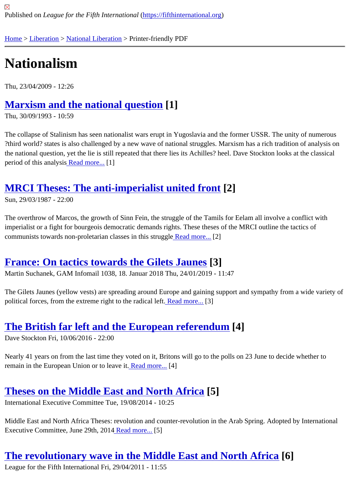# [Na](https://fifthinternational.org/)t[ionali](https://fifthinternational.org/category/10)[sm](https://fifthinternational.org/category/10/332)

Thu, 23/04/2009 - 12:26

#### Marxism and the national question[1]

Thu, 30/09/1993 - 10:59

[The collapse of Stalinism has seen nationalist wars](https://fifthinternational.org/content/marxism-and-national-question) erupt in Yugoslavia and the former USSR. The unity of numero ?third world? states is also challenged by a new wave of national struggles. Marxism has a rich tradition of analysi the national question, yet the lie is still repeated that there lies its Achilles? heel. Dave Stockton looks at the classi period of this analysi**Read more.**..[1]

#### MRCI These[s: The an](https://fifthinternational.org/content/marxism-and-national-question)ti-imperialist united front [2]

Sun, 29/03/1987 - 22:00

[The overthrow of Marcos, the growth of Sinn Fein, the struggle of the](https://fifthinternational.org/content/mrci-theses-anti-imperialist-united-front) Tamils for Eelam all involve a conflict with imperialist or a fight for bourgeois democratic demands rights. These theses of the MRCI outline the tactics of communists towards non-proletarian classes in this strugged more.<sup>[2]</sup>

#### France: On tactics towards the Gilets Jaune<sup>[3]</sup>

Martin Suchanek, GAM Infomail 1038, 18. Januar 2018 Thu, 24/01/2019 - 11:47

[The Gilets Jaunes \(yellow vests\) are spreading around Europe an](https://fifthinternational.org/content/france-tactics-towards-gilets-jaunes)d gaining support and sympathy from a wide var political forces, from the extreme right to the radical **Read more.**<sup>[3]</sup>

#### The British far left and the Europe[an refere](https://fifthinternational.org/content/france-tactics-towards-gilets-jaunes)ndum[4]

Dave Stockton Fri, 10/06/2016 - 22:00

[Nearly 41 years on from the last time they voted on it, Britons will go to th](https://fifthinternational.org/content/british-far-left-and-european-referendum)e polls on 23 June to decide whether to remain in the European Union or to leave Ritad more.<sup>[4]</sup>

## Theses on the Middle Eas[t and No](https://fifthinternational.org/content/british-far-left-and-european-referendum)rth Africa<sup>[5]</sup>

International Executive Committee Tue, 19/08/2014 - 10:25

[Middle East and North Africa Theses: revolution and counter-rev](https://fifthinternational.org/content/theses-middle-east-and-north-africa)olution in the Arab Spring. Adopted by Internation Executive Committee, June 29th, 2014 ad more.<sup>[5]</sup>

## The revolutionary wave [in the M](https://fifthinternational.org/content/theses-middle-east-and-north-africa)iddle East and North Africa[6]

League for the Fifth International Fri, 29/04/2011 - 11:55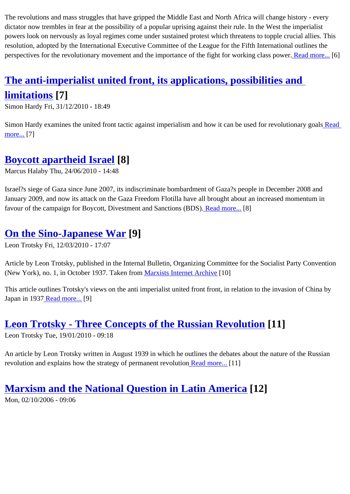#### dictator now trembles in fear at the possibility of a popular uprising against their rule. In the West the imperialist powers look on nervously as loyal regimes come under sustained protest which threatens to topple crucial allies. T resolution, adopted by the International Executive Committee of the League for the Fifth International outlines the perspectives for the revolutionary movement and the importance of the fight for working class **Reademore**. [6]

# The anti-imperialist united front, its applications, possibilities [and](https://fifthinternational.org/content/revolutionary-wave-middle-east-and-north-africa)

## limitations [7]

[Simon Hardy Fri, 31/12/2010 - 18:49](https://fifthinternational.org/content/anti-imperialist-united-front-its-applications-possibilities-and-limitations)

[Simon Hardy ex](https://fifthinternational.org/content/anti-imperialist-united-front-its-applications-possibilities-and-limitations)amines the united front tactic against imperialism and how it can be used for revolution areagoals more...[7]

# [Boyc](https://fifthinternational.org/content/anti-imperialist-united-front-its-applications-possibilities-and-limitations)ott apartheid Israel[8]

Marcus Halaby Thu, 24/06/2010 - 14:48

[Israel?s siege of Gaza since June 2](https://fifthinternational.org/content/boycott-apartheid-israel)007, its indiscriminate bombardment of Gaza?s people in December 2008 and January 2009, and now its attack on the Gaza Freedom Flotilla have all brought about an increased momentum in favour of the campaign for Boycott, Divestment and Sanctions (**BRS)**d more.<sup>[8]</sup>

#### On the Sino-Japanese War9]

Leon Trotsky Fri, 12/03/2010 - 17:07

[Article by Leon Trotsky, published in the](https://fifthinternational.org/content/sino-japanese-war) Internal Bulletin, Organizing Committee for the Socialist Party Convention (New York), no. 1, in October 1937. Taken from arxists Internet Archive<sup>10]</sup>

This article outlines Trotsky's views on the anti imperialist united front front, in relation to the invasion of China by Japan in 193Read more.<sup>[9]</sup>

# Leon Tr[otsky - T](https://fifthinternational.org/content/sino-japanese-war)hree Concepts of the Russian Revolution 1]

Leon Trotsky Tue, 19/01/2010 - 09:18

[An article by Leon Trotsky written in August 1939 in which he outlines the debates a](https://fifthinternational.org/content/leon-trotsky-three-concepts-russian-revolution)bout the nature of the Russian revolution and explains how the strategy of permanent revolution more.<sup>[11]</sup>

Marxism and the National Question in [Latin Ame](https://fifthinternational.org/content/leon-trotsky-three-concepts-russian-revolution)rica[12] Mon, 02/10/2006 - 09:06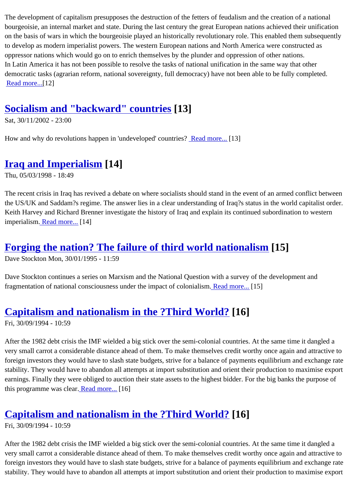bourgeoisie, an internal market and state. During the last century the great European nations achieved their unification on the basis of wars in which the bourgeoisie played an historically revolutionary role. This enabled them subsequ to develop as modern imperialist powers. The western European nations and North America were constructed as oppressor nations which would go on to enrich themselves by the plunder and oppression of other nations. In Latin America it has not been possible to resolve the tasks of national unification in the same way that other democratic tasks (agrarian reform, national sovereignty, full democracy) have not been able to be fully completed. Readmore...[12]

## [Socialism](https://fifthinternational.org/content/marxism-and-national-question-latin-america) and "backward" countries [13]

Sat, 30/11/2002 - 23:00

[How and why do revolutions happen in 'undeveloped'](https://fifthinternational.org/content/socialism-and-backward-countries) countries and more...[13]

## Iraq and Imperialism [14]

Thu, 05/03/1998 - 18:49

[The recent crisis in Iraq has rev](https://fifthinternational.org/content/iraq-and-imperialism)ived a debate on where socialists should stand in the event of an armed conflict be the US/UK and Saddam?s regime. The answer lies in a clear understanding of Iraq?s status in the world capitalist Keith Harvey and Richard Brenner investigate the history of Iraq and explain its continued subordination to wester imperialism. Read more. [14]

## Forgin[g the nati](https://fifthinternational.org/content/iraq-and-imperialism)on? The failure of third world nationalism [15]

Dave Stockton Mon, 30/01/1995 - 11:59

[Dave Stockton continues a series on Marxism and the National Question with a surve](https://fifthinternational.org/content/forging-nation-failure-third-world-nationalism)y of the development and fragmentation of national consciousness under the impact of colonialism more...[15]

## Capitalism and nationalism in the ?Third W[orld?](https://fifthinternational.org/content/forging-nation-failure-third-world-nationalism) [16]

Fri, 30/09/1994 - 10:59

[After the 1982 debt crisis the IMF wielded a big stick over the semi-colon](https://fifthinternational.org/content/capitalism-and-nationalism-“third-world”)ial countries. At the same time it dangled very small carrot a considerable distance ahead of them. To make themselves credit worthy once again and attrac foreign investors they would have to slash state budgets, strive for a balance of payments equilibrium and exchang stability. They would have to abandon all attempts at import substitution and orient their production to maximise ex earnings. Finally they were obliged to auction their state assets to the highest bidder. For the big banks the purpos this programme was clearead more.<sup>[16]</sup>

# Capitalism and [nationali](https://fifthinternational.org/content/capitalism-and-nationalism-“third-world”)sm in the ?Third World? [16]

Fri, 30/09/1994 - 10:59

[After the 1982 debt crisis the IMF wielded a big stick over the semi-colon](https://fifthinternational.org/content/capitalism-and-nationalism-“third-world”)ial countries. At the same time it dangled very small carrot a considerable distance ahead of them. To make themselves credit worthy once again and attrac foreign investors they would have to slash state budgets, strive for a balance of payments equilibrium and exchangeration stability. They would have to abandon all attempts at import substitution and orient their production to maximise ex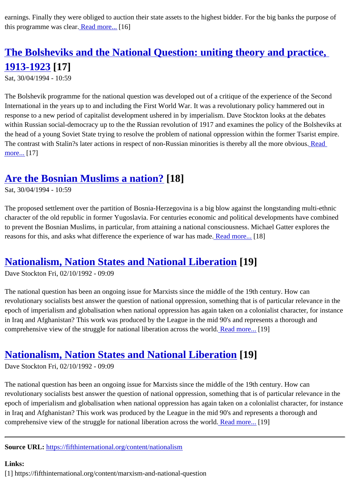# The Bolsheviks [and the](https://fifthinternational.org/content/capitalism-and-nationalism-“third-world”) National Question: uniting theory and practice, 1913-1923[17]

[Sat, 30/04/1994 - 10:59](https://fifthinternational.org/content/bolsheviks-and-national-question-uniting-theory-and-practice-1913-1923)

[The Bolshevik](https://fifthinternational.org/content/bolsheviks-and-national-question-uniting-theory-and-practice-1913-1923) programme for the national question was developed out of a critique of the experience of the Secor International in the years up to and including the First World War. It was a revolutionary policy hammered out in response to a new period of capitalist development ushered in by imperialism. Dave Stockton looks at the debates within Russian social-democracy up to the the Russian revolution of 1917 and examines the policy of the Bolshevi the head of a young Soviet State trying to resolve the problem of national oppression within the former Tsarist emp The contrast with Stalin?s later actions in respect of non-Russian minorities is thereby all the more Readous. more...[17]

#### [Are t](https://fifthinternational.org/content/bolsheviks-and-national-question-uniting-theory-and-practice-1913-1923)he Bosnian Muslims a nation?[18]

Sat, 30/04/1994 - 10:59

[The proposed settlement over the partition of Bosni](https://fifthinternational.org/content/are-bosnian-muslims-nation)a-Herzegovina is a big blow against the longstanding multi-ethi character of the old republic in former Yugoslavia. For centuries economic and political developments have combi to prevent the Bosnian Muslims, in particular, from attaining a national consciousness. Michael Gatter explores the reasons for this, and asks what difference the experience of war has meadenore. [18]

#### Nationalism, Nation States and National Lib[eration\[19](https://fifthinternational.org/content/are-bosnian-muslims-nation)]

Dave Stockton Fri, 02/10/1992 - 09:09

[The national question has been an ongoing issue for Marxists since the mid](https://fifthinternational.org/content/nationalism-nation-states-and-national-liberation)dle of the 19th century. How can revolutionary socialists best answer the question of national oppression, something that is of particular relevance i epoch of imperialism and globalisation when national oppression has again taken on a colonialist character, for ins in Iraq and Afghanistan? This work was produced by the League in the mid 90's and represents a thorough and comprehensive view of the struggle for national liberation across the **Read more.** [19]

## Nationalism, Nation States and National Liberation 19]

Dave Stockton Fri, 02/10/1992 - 09:09

[The national question has been an ongoing issue for Marxists since the mid](https://fifthinternational.org/content/nationalism-nation-states-and-national-liberation)dle of the 19th century. How can revolutionary socialists best answer the question of national oppression, something that is of particular relevance i epoch of imperialism and globalisation when national oppression has again taken on a colonialist character, for ins in Iraq and Afghanistan? This work was produced by the League in the mid 90's and represents a thorough and comprehensive view of the struggle for national liberation across the **Reated more.** [19]

Source URL: https://fifthinternational.org/content/nationalism

Links: [1] https://fift[hinternational.org/content/marxism-and-natio](https://fifthinternational.org/content/nationalism)nal-question